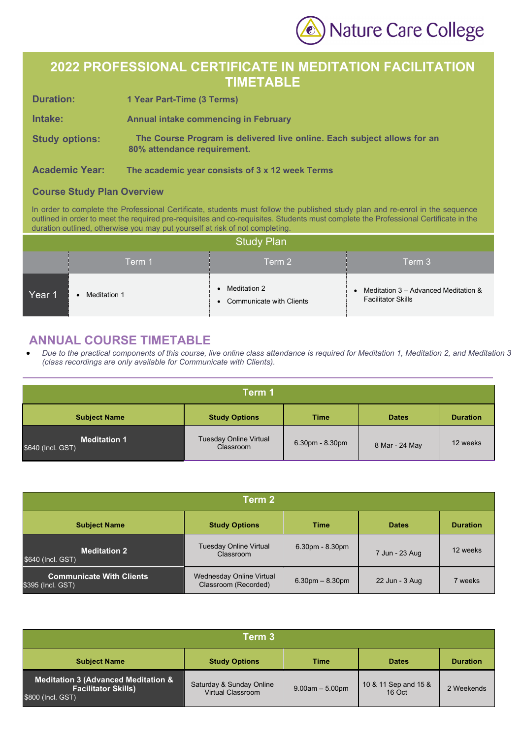Nature Care College

## **2022 PROFESSIONAL CERTIFICATE IN MEDITATION FACILITATION TIMETABLE**

| <b>Duration:</b>      | 1 Year Part-Time (3 Terms)                                                                             |
|-----------------------|--------------------------------------------------------------------------------------------------------|
| Intake:               | <b>Annual intake commencing in February</b>                                                            |
| <b>Study options:</b> | The Course Program is delivered live online. Each subject allows for an<br>80% attendance requirement. |

**Academic Year: The academic year consists of 3 x 12 week Terms**

## **Course Study Plan Overview**

In order to complete the Professional Certificate, students must follow the published study plan and re-enrol in the sequence outlined in order to meet the required pre-requisites and co-requisites. Students must complete the Professional Certificate in the duration outlined, otherwise you may put yourself at risk of not completing.

| <b>Study Plan</b> |              |                                            |                                                                     |  |
|-------------------|--------------|--------------------------------------------|---------------------------------------------------------------------|--|
|                   | Term 1       | Term 2                                     | Term 3                                                              |  |
| Year 1            | Meditation 1 | Meditation 2<br>• Communicate with Clients | • Meditation 3 – Advanced Meditation &<br><b>Facilitator Skills</b> |  |

## **ANNUAL COURSE TIMETABLE**

• *Due to the practical components of this course, live online class attendance is required for Meditation 1, Meditation 2, and Meditation 3 (class recordings are only available for Communicate with Clients).*

| Term 1                                   |                                            |                 |                |                 |  |
|------------------------------------------|--------------------------------------------|-----------------|----------------|-----------------|--|
| <b>Subject Name</b>                      | <b>Study Options</b>                       | <b>Time</b>     | <b>Dates</b>   | <b>Duration</b> |  |
| <b>Meditation 1</b><br>\$640 (Incl. GST) | <b>Tuesday Online Virtual</b><br>Classroom | 6.30pm - 8.30pm | 8 Mar - 24 May | 12 weeks        |  |

| Term 2                                               |                                                         |                   |                |                 |  |
|------------------------------------------------------|---------------------------------------------------------|-------------------|----------------|-----------------|--|
| <b>Subject Name</b>                                  | <b>Study Options</b>                                    | <b>Time</b>       | <b>Dates</b>   | <b>Duration</b> |  |
| <b>Meditation 2</b><br>\$640 (Incl. GST)             | <b>Tuesday Online Virtual</b><br>Classroom              | $6.30pm - 8.30pm$ | 7 Jun - 23 Aug | 12 weeks        |  |
| <b>Communicate With Clients</b><br>\$395 (Incl. GST) | <b>Wednesday Online Virtual</b><br>Classroom (Recorded) | $6.30pm - 8.30pm$ | 22 Jun - 3 Aug | 7 weeks         |  |

| Term 3                                                                                             |                                                      |                   |                                |                 |  |
|----------------------------------------------------------------------------------------------------|------------------------------------------------------|-------------------|--------------------------------|-----------------|--|
| <b>Subject Name</b>                                                                                | <b>Study Options</b>                                 | <b>Time</b>       | <b>Dates</b>                   | <b>Duration</b> |  |
| <b>Meditation 3 (Advanced Meditation &amp;</b><br><b>Facilitator Skills)</b><br>$$800$ (Incl. GST) | Saturday & Sunday Online<br><b>Virtual Classroom</b> | $9.00am - 5.00pm$ | 10 & 11 Sep and 15 &<br>16 Oct | 2 Weekends      |  |